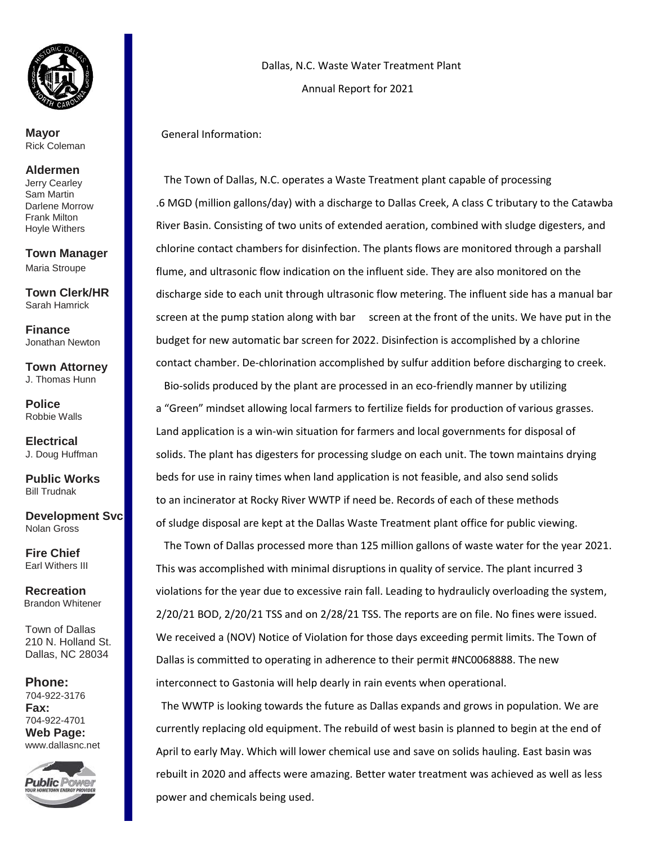

I

**Mayor**  Rick Coleman

## **Aldermen**

Jerry Cearley Sam Martin Darlene Morrow Frank Milton Hoyle Withers

**Town Manager**  Maria Stroupe

**Town Clerk/HR**  Sarah Hamrick

**Finance** Jonathan Newton

**Town Attorney**  J. Thomas Hunn

**Police** Robbie Walls

**Electrical**  J. Doug Huffman

**Public Works**  Bill Trudnak

**Development Svc**  Nolan Gross

**Fire Chief**  Earl Withers III

**Recreation** Brandon Whitener

Town of Dallas 210 N. Holland St. Dallas, NC 28034

**Phone:**  704-922-3176 **Fax:**  704-922-4701 **Web Page:**  www.dallasnc.net



 Dallas, N.C. Waste Water Treatment Plant Annual Report for 2021

General Information:

 The Town of Dallas, N.C. operates a Waste Treatment plant capable of processing .6 MGD (million gallons/day) with a discharge to Dallas Creek, A class C tributary to the Catawba River Basin. Consisting of two units of extended aeration, combined with sludge digesters, and chlorine contact chambers for disinfection. The plants flows are monitored through a parshall flume, and ultrasonic flow indication on the influent side. They are also monitored on the discharge side to each unit through ultrasonic flow metering. The influent side has a manual bar screen at the pump station along with bar screen at the front of the units. We have put in the budget for new automatic bar screen for 2022. Disinfection is accomplished by a chlorine contact chamber. De-chlorination accomplished by sulfur addition before discharging to creek. Bio-solids produced by the plant are processed in an eco-friendly manner by utilizing a "Green" mindset allowing local farmers to fertilize fields for production of various grasses. Land application is a win-win situation for farmers and local governments for disposal of solids. The plant has digesters for processing sludge on each unit. The town maintains drying beds for use in rainy times when land application is not feasible, and also send solids to an incinerator at Rocky River WWTP if need be. Records of each of these methods of sludge disposal are kept at the Dallas Waste Treatment plant office for public viewing. The Town of Dallas processed more than 125 million gallons of waste water for the year 2021. This was accomplished with minimal disruptions in quality of service. The plant incurred 3 violations for the year due to excessive rain fall. Leading to hydraulicly overloading the system, 2/20/21 BOD, 2/20/21 TSS and on 2/28/21 TSS. The reports are on file. No fines were issued. We received a (NOV) Notice of Violation for those days exceeding permit limits. The Town of Dallas is committed to operating in adherence to their permit #NC0068888. The new interconnect to Gastonia will help dearly in rain events when operational.

The WWTP is looking towards the future as Dallas expands and grows in population. We are currently replacing old equipment. The rebuild of west basin is planned to begin at the end of April to early May. Which will lower chemical use and save on solids hauling. East basin was rebuilt in 2020 and affects were amazing. Better water treatment was achieved as well as less power and chemicals being used.